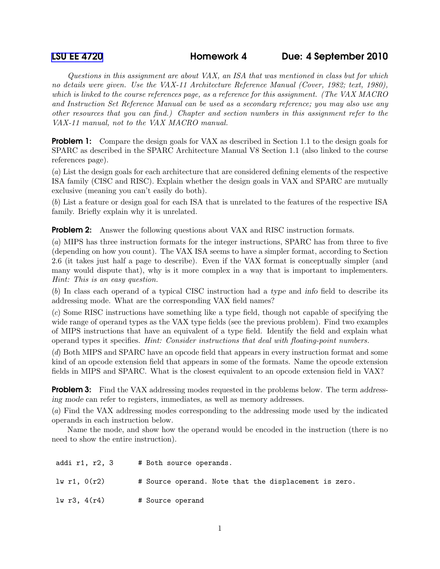Questions in this assignment are about VAX, an ISA that was mentioned in class but for which no details were given. Use the VAX-11 Architecture Reference Manual (Cover, 1982; text, 1980), which is linked to the course references page, as a reference for this assignment. (The VAX MACRO and Instruction Set Reference Manual can be used as a secondary reference; you may also use any other resources that you can find.) Chapter and section numbers in this assignment refer to the VAX-11 manual, not to the VAX MACRO manual.

**Problem 1:** Compare the design goals for VAX as described in Section 1.1 to the design goals for SPARC as described in the SPARC Architecture Manual V8 Section 1.1 (also linked to the course references page).

(a) List the design goals for each architecture that are considered defining elements of the respective ISA family (CISC and RISC). Explain whether the design goals in VAX and SPARC are mutually exclusive (meaning you can't easily do both).

(b) List a feature or design goal for each ISA that is unrelated to the features of the respective ISA family. Briefly explain why it is unrelated.

**Problem 2:** Answer the following questions about VAX and RISC instruction formats.

(a) MIPS has three instruction formats for the integer instructions, SPARC has from three to five (depending on how you count). The VAX ISA seems to have a simpler format, according to Section 2.6 (it takes just half a page to describe). Even if the VAX format is conceptually simpler (and many would dispute that), why is it more complex in a way that is important to implementers. Hint: This is an easy question.

(b) In class each operand of a typical CISC instruction had a type and info field to describe its addressing mode. What are the corresponding VAX field names?

(c) Some RISC instructions have something like a type field, though not capable of specifying the wide range of operand types as the VAX type fields (see the previous problem). Find two examples of MIPS instructions that have an equivalent of a type field. Identify the field and explain what operand types it specifies. Hint: Consider instructions that deal with floating-point numbers.

(d) Both MIPS and SPARC have an opcode field that appears in every instruction format and some kind of an opcode extension field that appears in some of the formats. Name the opcode extension fields in MIPS and SPARC. What is the closest equivalent to an opcode extension field in VAX?

**Problem 3:** Find the VAX addressing modes requested in the problems below. The term addressing mode can refer to registers, immediates, as well as memory addresses.

(a) Find the VAX addressing modes corresponding to the addressing mode used by the indicated operands in each instruction below.

Name the mode, and show how the operand would be encoded in the instruction (there is no need to show the entire instruction).

| addi r1, r2, 3 | # Both source operands.                               |
|----------------|-------------------------------------------------------|
| lw r1, $0(r2)$ | # Source operand. Note that the displacement is zero. |
| 1w r3, 4(r4)   | # Source operand                                      |